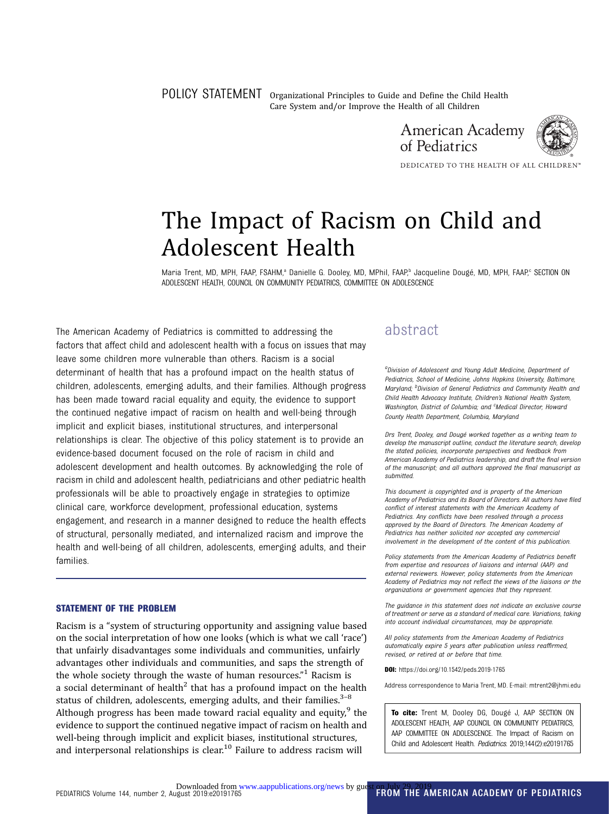POLICY STATEMENT Organizational Principles to Guide and Define the Child Health Care System and/or Improve the Health of all Children





DEDICATED TO THE HEALTH OF ALL CHILDREN'

## The Impact of Racism on Child and Adolescent Health

Maria Trent, MD, MPH, FAAP, FSAHM,<sup>a</sup> Danielle G. Dooley, MD, MPhil, FAAP,<sup>b</sup> Jacqueline Dougé, MD, MPH, FAAP,<sup>c</sup> SECTION ON ADOLESCENT HEALTH, COUNCIL ON COMMUNITY PEDIATRICS, COMMITTEE ON ADOLESCENCE

The American Academy of Pediatrics is committed to addressing the  $a$ bstract factors that affect child and adolescent health with a focus on issues that may leave some children more vulnerable than others. Racism is a social determinant of health that has a profound impact on the health status of children, adolescents, emerging adults, and their families. Although progress has been made toward racial equality and equity, the evidence to support the continued negative impact of racism on health and well-being through implicit and explicit biases, institutional structures, and interpersonal relationships is clear. The objective of this policy statement is to provide an evidence-based document focused on the role of racism in child and adolescent development and health outcomes. By acknowledging the role of racism in child and adolescent health, pediatricians and other pediatric health professionals will be able to proactively engage in strategies to optimize clinical care, workforce development, professional education, systems engagement, and research in a manner designed to reduce the health effects of structural, personally mediated, and internalized racism and improve the health and well-being of all children, adolescents, emerging adults, and their families.

#### STATEMENT OF THE PROBLEM

Racism is a "system of structuring opportunity and assigning value based on the social interpretation of how one looks (which is what we call 'race') that unfairly disadvantages some individuals and communities, unfairly advantages other individuals and communities, and saps the strength of the whole society through the waste of human resources."<sup>[1](#page-7-0)</sup> Racism is a social determinant of health<sup>2</sup> that has a profound impact on the health status of children, adolescents, emerging adults, and their families. $3-8$  $3-8$  $3-8$ Although progress has been made toward racial equality and equity, $9$  the evidence to support the continued negative impact of racism on health and well-being through implicit and explicit biases, institutional structures, and interpersonal relationships is clear.<sup>[10](#page-7-0)</sup> Failure to address racism will

<sup>a</sup>Division of Adolescent and Young Adult Medicine, Department of Pediatrics, School of Medicine, Johns Hopkins University, Baltimore, Maryland; <sup>b</sup>Division of General Pediatrics and Community Health and Child Health Advocacy Institute, Children's National Health System, Washington, District of Columbia; and <sup>c</sup>Medical Director, Howard County Health Department, Columbia, Maryland

Drs Trent, Dooley, and Dougé worked together as a writing team to develop the manuscript outline, conduct the literature search, develop the stated policies, incorporate perspectives and feedback from American Academy of Pediatrics leadership, and draft the final version of the manuscript; and all authors approved the final manuscript as submitted.

This document is copyrighted and is property of the American Academy of Pediatrics and its Board of Directors. All authors have filed conflict of interest statements with the American Academy of Pediatrics. Any conflicts have been resolved through a process approved by the Board of Directors. The American Academy of Pediatrics has neither solicited nor accepted any commercial involvement in the development of the content of this publication.

Policy statements from the American Academy of Pediatrics benefit from expertise and resources of liaisons and internal (AAP) and external reviewers. However, policy statements from the American Academy of Pediatrics may not reflect the views of the liaisons or the organizations or government agencies that they represent.

The guidance in this statement does not indicate an exclusive course of treatment or serve as a standard of medical care. Variations, taking into account individual circumstances, may be appropriate.

All policy statements from the American Academy of Pediatrics automatically expire 5 years after publication unless reaffirmed, revised, or retired at or before that time.

DOI: https://doi.org/10.1542/peds.2019-1765

Address correspondence to Maria Trent, MD. E-mail: mtrent2@jhmi.edu

To cite: Trent M, Dooley DG, Dougé J, AAP SECTION ON ADOLESCENT HEALTH, AAP COUNCIL ON COMMUNITY PEDIATRICS, AAP COMMITTEE ON ADOLESCENCE. The Impact of Racism on Child and Adolescent Health. Pediatrics. 2019;144(2):e20191765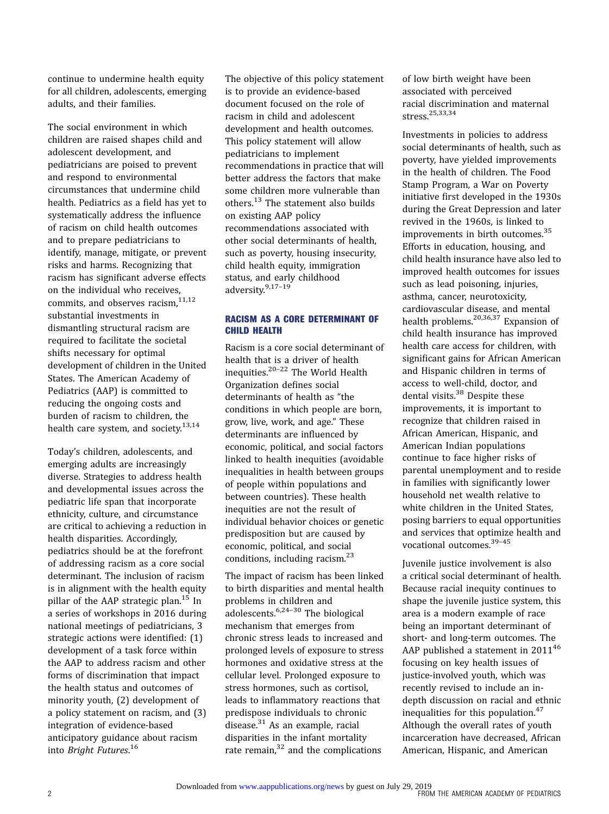continue to undermine health equity for all children, adolescents, emerging adults, and their families.

The social environment in which children are raised shapes child and adolescent development, and pediatricians are poised to prevent and respond to environmental circumstances that undermine child health. Pediatrics as a field has yet to systematically address the influence of racism on child health outcomes and to prepare pediatricians to identify, manage, mitigate, or prevent risks and harms. Recognizing that racism has significant adverse effects on the individual who receives, commits, and observes racism, $^{11,12}$ substantial investments in dismantling structural racism are required to facilitate the societal shifts necessary for optimal development of children in the United States. The American Academy of Pediatrics (AAP) is committed to reducing the ongoing costs and burden of racism to children, the health care system, and society.<sup>[13,14](#page-7-0)</sup>

Today's children, adolescents, and emerging adults are increasingly diverse. Strategies to address health and developmental issues across the pediatric life span that incorporate ethnicity, culture, and circumstance are critical to achieving a reduction in health disparities. Accordingly, pediatrics should be at the forefront of addressing racism as a core social determinant. The inclusion of racism is in alignment with the health equity pillar of the AAP strategic plan.[15](#page-7-0) In a series of workshops in 2016 during national meetings of pediatricians, 3 strategic actions were identified: (1) development of a task force within the AAP to address racism and other forms of discrimination that impact the health status and outcomes of minority youth, (2) development of a policy statement on racism, and (3) integration of evidence-based anticipatory guidance about racism into Bright Futures. [16](#page-7-0)

The objective of this policy statement is to provide an evidence-based document focused on the role of racism in child and adolescent development and health outcomes. This policy statement will allow pediatricians to implement recommendations in practice that will better address the factors that make some children more vulnerable than others.[13](#page-7-0) The statement also builds on existing AAP policy recommendations associated with other social determinants of health, such as poverty, housing insecurity, child health equity, immigration status, and early childhood adversity.<sup>[9,17](#page-7-0)-[19](#page-8-0)</sup>

#### RACISM AS A CORE DETERMINANT OF CHILD HEALTH

Racism is a core social determinant of health that is a driver of health inequities.[20](#page-8-0)–[22](#page-8-0) The World Health Organization defines social determinants of health as "the conditions in which people are born, grow, live, work, and age." These determinants are influenced by economic, political, and social factors linked to health inequities (avoidable inequalities in health between groups of people within populations and between countries). These health inequities are not the result of individual behavior choices or genetic predisposition but are caused by economic, political, and social conditions, including racism[.23](#page-8-0)

The impact of racism has been linked to birth disparities and mental health problems in children and  $\alpha$  adolescents.<sup>6[,24](#page-8-0)–[30](#page-8-0)</sup> The biological mechanism that emerges from chronic stress leads to increased and prolonged levels of exposure to stress hormones and oxidative stress at the cellular level. Prolonged exposure to stress hormones, such as cortisol, leads to inflammatory reactions that predispose individuals to chronic disease. $31$  As an example, racial disparities in the infant mortality rate remain, $32$  and the complications

of low birth weight have been associated with perceived racial discrimination and maternal stress[.25,33](#page-8-0),[34](#page-8-0)

Investments in policies to address social determinants of health, such as poverty, have yielded improvements in the health of children. The Food Stamp Program, a War on Poverty initiative first developed in the 1930s during the Great Depression and later revived in the 1960s, is linked to improvements in birth outcomes.[35](#page-8-0) Efforts in education, housing, and child health insurance have also led to improved health outcomes for issues such as lead poisoning, injuries, asthma, cancer, neurotoxicity, cardiovascular disease, and mental health problems.<sup>[20](#page-8-0),[36,37](#page-8-0)</sup> Expansion of child health insurance has improved health care access for children, with significant gains for African American and Hispanic children in terms of access to well-child, doctor, and dental visits.<sup>[38](#page-8-0)</sup> Despite these improvements, it is important to recognize that children raised in African American, Hispanic, and American Indian populations continue to face higher risks of parental unemployment and to reside in families with significantly lower household net wealth relative to white children in the United States, posing barriers to equal opportunities and services that optimize health and vocational outcomes.[39](#page-8-0)–[45](#page-8-0)

Juvenile justice involvement is also a critical social determinant of health. Because racial inequity continues to shape the juvenile justice system, this area is a modern example of race being an important determinant of short- and long-term outcomes. The AAP published a statement in 2011<sup>46</sup> focusing on key health issues of justice-involved youth, which was recently revised to include an indepth discussion on racial and ethnic inequalities for this population. $47$ Although the overall rates of youth incarceration have decreased, African American, Hispanic, and American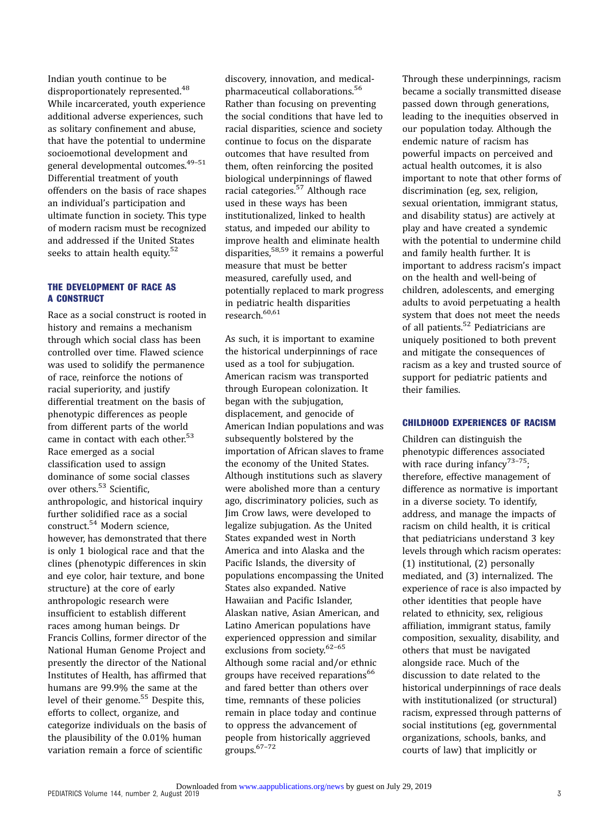Indian youth continue to be disproportionately represented.<sup>[48](#page-8-0)</sup> While incarcerated, youth experience additional adverse experiences, such as solitary confinement and abuse, that have the potential to undermine socioemotional development and general developmental outcomes[.49](#page-9-0)–[51](#page-9-0) Differential treatment of youth offenders on the basis of race shapes an individual's participation and ultimate function in society. This type of modern racism must be recognized and addressed if the United States seeks to attain health equity. $52$ 

#### THE DEVELOPMENT OF RACE AS A CONSTRUCT

Race as a social construct is rooted in history and remains a mechanism through which social class has been controlled over time. Flawed science was used to solidify the permanence of race, reinforce the notions of racial superiority, and justify differential treatment on the basis of phenotypic differences as people from different parts of the world came in contact with each other.<sup>[53](#page-9-0)</sup> Race emerged as a social classification used to assign dominance of some social classes over others.<sup>[53](#page-9-0)</sup> Scientific, anthropologic, and historical inquiry further solidified race as a social construct.[54](#page-9-0) Modern science, however, has demonstrated that there is only 1 biological race and that the clines (phenotypic differences in skin and eye color, hair texture, and bone structure) at the core of early anthropologic research were insufficient to establish different races among human beings. Dr Francis Collins, former director of the National Human Genome Project and presently the director of the National Institutes of Health, has affirmed that humans are 99.9% the same at the level of their genome.<sup>[55](#page-9-0)</sup> Despite this, efforts to collect, organize, and categorize individuals on the basis of the plausibility of the 0.01% human variation remain a force of scientific

discovery, innovation, and medicalpharmaceutical collaborations.[56](#page-9-0) Rather than focusing on preventing the social conditions that have led to racial disparities, science and society continue to focus on the disparate outcomes that have resulted from them, often reinforcing the posited biological underpinnings of flawed racial categories.<sup>[57](#page-9-0)</sup> Although race used in these ways has been institutionalized, linked to health status, and impeded our ability to improve health and eliminate health disparities,  $58,59$  $58,59$  $58,59$  it remains a powerful measure that must be better measured, carefully used, and potentially replaced to mark progress in pediatric health disparities  $research.<sup>60,61</sup>$  $research.<sup>60,61</sup>$  $research.<sup>60,61</sup>$  $research.<sup>60,61</sup>$  $research.<sup>60,61</sup>$ 

As such, it is important to examine the historical underpinnings of race used as a tool for subjugation. American racism was transported through European colonization. It began with the subjugation, displacement, and genocide of American Indian populations and was subsequently bolstered by the importation of African slaves to frame the economy of the United States. Although institutions such as slavery were abolished more than a century ago, discriminatory policies, such as Jim Crow laws, were developed to legalize subjugation. As the United States expanded west in North America and into Alaska and the Pacific Islands, the diversity of populations encompassing the United States also expanded. Native Hawaiian and Pacific Islander, Alaskan native, Asian American, and Latino American populations have experienced oppression and similar exclusions from society.<sup>[62](#page-9-0)-[65](#page-9-0)</sup> Although some racial and/or ethnic groups have received reparations<sup>[66](#page-9-0)</sup> and fared better than others over time, remnants of these policies remain in place today and continue to oppress the advancement of people from historically aggrieved groups.[67](#page-9-0)–[72](#page-9-0)

Through these underpinnings, racism became a socially transmitted disease passed down through generations, leading to the inequities observed in our population today. Although the endemic nature of racism has powerful impacts on perceived and actual health outcomes, it is also important to note that other forms of discrimination (eg, sex, religion, sexual orientation, immigrant status, and disability status) are actively at play and have created a syndemic with the potential to undermine child and family health further. It is important to address racism's impact on the health and well-being of children, adolescents, and emerging adults to avoid perpetuating a health system that does not meet the needs of all patients.<sup>[52](#page-9-0)</sup> Pediatricians are uniquely positioned to both prevent and mitigate the consequences of racism as a key and trusted source of support for pediatric patients and their families.

#### CHILDHOOD EXPERIENCES OF RACISM

Children can distinguish the phenotypic differences associated with race during infancy<sup>73-[75](#page-9-0)</sup>; therefore, effective management of difference as normative is important in a diverse society. To identify, address, and manage the impacts of racism on child health, it is critical that pediatricians understand 3 key levels through which racism operates: (1) institutional, (2) personally mediated, and (3) internalized. The experience of race is also impacted by other identities that people have related to ethnicity, sex, religious affiliation, immigrant status, family composition, sexuality, disability, and others that must be navigated alongside race. Much of the discussion to date related to the historical underpinnings of race deals with institutionalized (or structural) racism, expressed through patterns of social institutions (eg, governmental organizations, schools, banks, and courts of law) that implicitly or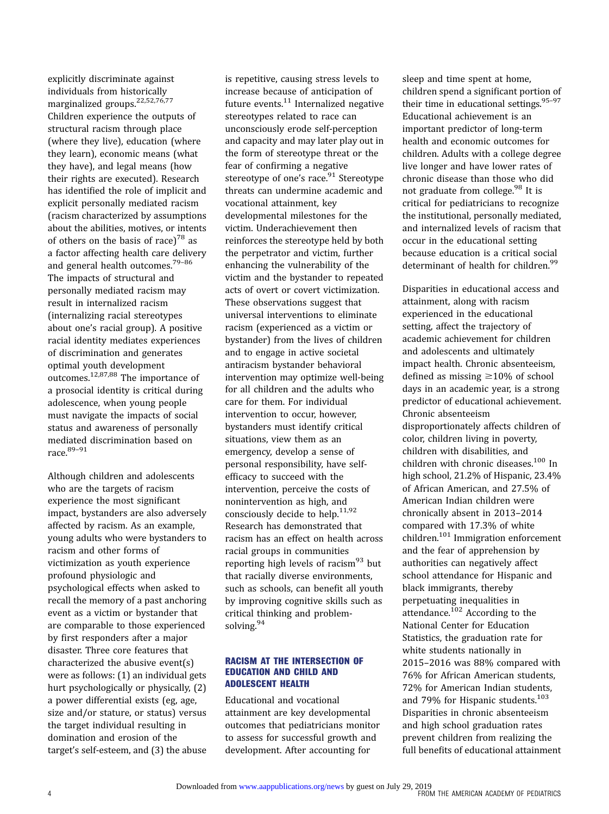explicitly discriminate against individuals from historically marginalized groups.<sup>[22](#page-8-0)[,52,76](#page-9-0),[77](#page-9-0)</sup> Children experience the outputs of structural racism through place (where they live), education (where they learn), economic means (what they have), and legal means (how their rights are executed). Research has identified the role of implicit and explicit personally mediated racism (racism characterized by assumptions about the abilities, motives, or intents of others on the basis of race) $^{78}$  $^{78}$  $^{78}$  as a factor affecting health care delivery and general health outcomes.[79](#page-9-0)–[86](#page-10-0) The impacts of structural and personally mediated racism may result in internalized racism (internalizing racial stereotypes about one's racial group). A positive racial identity mediates experiences of discrimination and generates optimal youth development outcomes.[12](#page-7-0),[87,88](#page-10-0) The importance of a prosocial identity is critical during adolescence, when young people must navigate the impacts of social status and awareness of personally mediated discrimination based on race.[89](#page-10-0)–[91](#page-10-0)

Although children and adolescents who are the targets of racism experience the most significant impact, bystanders are also adversely affected by racism. As an example, young adults who were bystanders to racism and other forms of victimization as youth experience profound physiologic and psychological effects when asked to recall the memory of a past anchoring event as a victim or bystander that are comparable to those experienced by first responders after a major disaster. Three core features that characterized the abusive event(s) were as follows: (1) an individual gets hurt psychologically or physically, (2) a power differential exists (eg, age, size and/or stature, or status) versus the target individual resulting in domination and erosion of the target's self-esteem, and (3) the abuse

is repetitive, causing stress levels to increase because of anticipation of future events.<sup>11</sup> Internalized negative stereotypes related to race can unconsciously erode self-perception and capacity and may later play out in the form of stereotype threat or the fear of confirming a negative stereotype of one's race.<sup>[91](#page-10-0)</sup> Stereotype threats can undermine academic and vocational attainment, key developmental milestones for the victim. Underachievement then reinforces the stereotype held by both the perpetrator and victim, further enhancing the vulnerability of the victim and the bystander to repeated acts of overt or covert victimization. These observations suggest that universal interventions to eliminate racism (experienced as a victim or bystander) from the lives of children and to engage in active societal antiracism bystander behavioral intervention may optimize well-being for all children and the adults who care for them. For individual intervention to occur, however, bystanders must identify critical situations, view them as an emergency, develop a sense of personal responsibility, have selfefficacy to succeed with the intervention, perceive the costs of nonintervention as high, and consciously decide to help.<sup>[11,](#page-7-0)[92](#page-10-0)</sup> Research has demonstrated that racism has an effect on health across racial groups in communities reporting high levels of racism<sup>[93](#page-10-0)</sup> but that racially diverse environments, such as schools, can benefit all youth by improving cognitive skills such as critical thinking and problem-solving.<sup>[94](#page-10-0)</sup>

#### RACISM AT THE INTERSECTION OF EDUCATION AND CHILD AND ADOLESCENT HEALTH

Educational and vocational attainment are key developmental outcomes that pediatricians monitor to assess for successful growth and development. After accounting for

sleep and time spent at home, children spend a significant portion of their time in educational settings.<sup>95-[97](#page-10-0)</sup> Educational achievement is an important predictor of long-term health and economic outcomes for children. Adults with a college degree live longer and have lower rates of chronic disease than those who did not graduate from college.<sup>98</sup> It is critical for pediatricians to recognize the institutional, personally mediated, and internalized levels of racism that occur in the educational setting because education is a critical social determinant of health for children.<sup>[99](#page-10-0)</sup>

Disparities in educational access and attainment, along with racism experienced in the educational setting, affect the trajectory of academic achievement for children and adolescents and ultimately impact health. Chronic absenteeism, defined as missing  $\geq$ 10% of school days in an academic year, is a strong predictor of educational achievement. Chronic absenteeism disproportionately affects children of color, children living in poverty, children with disabilities, and children with chronic diseases.<sup>100</sup> In high school, 21.2% of Hispanic, 23.4% of African American, and 27.5% of American Indian children were chronically absent in 2013–2014 compared with 17.3% of white children.[101](#page-10-0) Immigration enforcement and the fear of apprehension by authorities can negatively affect school attendance for Hispanic and black immigrants, thereby perpetuating inequalities in  $\arctan$ <sub>[102](#page-10-0)</sub> According to the National Center for Education Statistics, the graduation rate for white students nationally in 2015–2016 was 88% compared with 76% for African American students, 72% for American Indian students, and 79% for Hispanic students.<sup>[103](#page-10-0)</sup> Disparities in chronic absenteeism and high school graduation rates prevent children from realizing the full benefits of educational attainment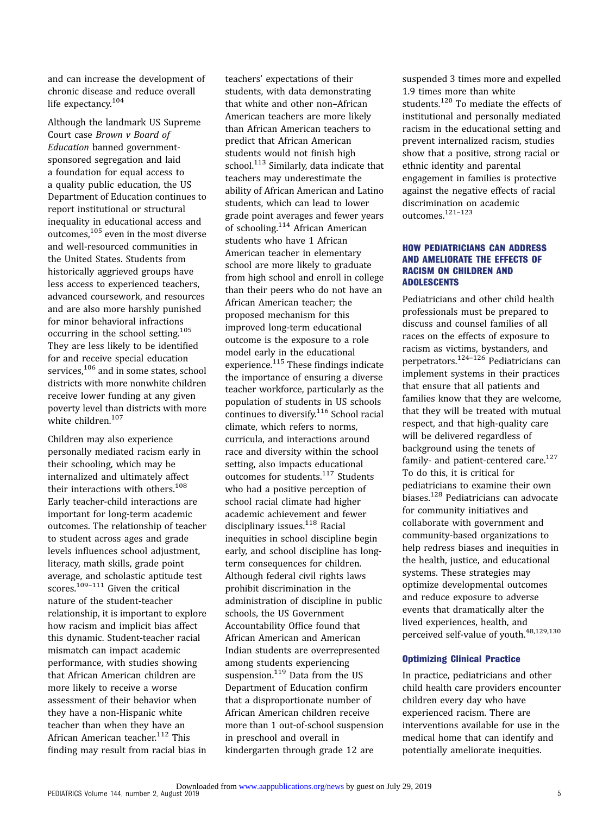and can increase the development of chronic disease and reduce overall life expectancy.<sup>[104](#page-10-0)</sup>

Although the landmark US Supreme Court case Brown v Board of Education banned governmentsponsored segregation and laid a foundation for equal access to a quality public education, the US Department of Education continues to report institutional or structural inequality in educational access and outcomes,<sup>[105](#page-10-0)</sup> even in the most diverse and well-resourced communities in the United States. Students from historically aggrieved groups have less access to experienced teachers, advanced coursework, and resources and are also more harshly punished for minor behavioral infractions occurring in the school setting.[105](#page-10-0) They are less likely to be identified for and receive special education services,<sup>[106](#page-10-0)</sup> and in some states, school districts with more nonwhite children receive lower funding at any given poverty level than districts with more white children.<sup>[107](#page-10-0)</sup>

Children may also experience personally mediated racism early in their schooling, which may be internalized and ultimately affect their interactions with others.<sup>108</sup> Early teacher-child interactions are important for long-term academic outcomes. The relationship of teacher to student across ages and grade levels influences school adjustment, literacy, math skills, grade point average, and scholastic aptitude test scores.<sup>109-[111](#page-10-0)</sup> Given the critical nature of the student-teacher relationship, it is important to explore how racism and implicit bias affect this dynamic. Student-teacher racial mismatch can impact academic performance, with studies showing that African American children are more likely to receive a worse assessment of their behavior when they have a non-Hispanic white teacher than when they have an African American teacher.<sup>[112](#page-10-0)</sup> This finding may result from racial bias in

teachers' expectations of their students, with data demonstrating that white and other non–African American teachers are more likely than African American teachers to predict that African American students would not finish high school.<sup>[113](#page-10-0)</sup> Similarly, data indicate that teachers may underestimate the ability of African American and Latino students, which can lead to lower grade point averages and fewer years of schooling.[114](#page-11-0) African American students who have 1 African American teacher in elementary school are more likely to graduate from high school and enroll in college than their peers who do not have an African American teacher; the proposed mechanism for this improved long-term educational outcome is the exposure to a role model early in the educational experience.<sup>[115](#page-11-0)</sup> These findings indicate the importance of ensuring a diverse teacher workforce, particularly as the population of students in US schools continues to diversify.<sup>[116](#page-11-0)</sup> School racial climate, which refers to norms, curricula, and interactions around race and diversity within the school setting, also impacts educational outcomes for students[.117](#page-11-0) Students who had a positive perception of school racial climate had higher academic achievement and fewer disciplinary issues.<sup>[118](#page-11-0)</sup> Racial inequities in school discipline begin early, and school discipline has longterm consequences for children. Although federal civil rights laws prohibit discrimination in the administration of discipline in public schools, the US Government Accountability Office found that African American and American Indian students are overrepresented among students experiencing suspension. $119$  Data from the US Department of Education confirm that a disproportionate number of African American children receive more than 1 out-of-school suspension in preschool and overall in kindergarten through grade 12 are

suspended 3 times more and expelled 1.9 times more than white students.<sup>120</sup> To mediate the effects of institutional and personally mediated racism in the educational setting and prevent internalized racism, studies show that a positive, strong racial or ethnic identity and parental engagement in families is protective against the negative effects of racial discrimination on academic outcomes.[121](#page-11-0)–[123](#page-11-0)

#### HOW PEDIATRICIANS CAN ADDRESS AND AMELIORATE THE EFFECTS OF RACISM ON CHILDREN AND **ADOLESCENTS**

Pediatricians and other child health professionals must be prepared to discuss and counsel families of all races on the effects of exposure to racism as victims, bystanders, and perpetrators.[124](#page-11-0)–[126](#page-11-0) Pediatricians can implement systems in their practices that ensure that all patients and families know that they are welcome, that they will be treated with mutual respect, and that high-quality care will be delivered regardless of background using the tenets of family- and patient-centered care.<sup>127</sup> To do this, it is critical for pediatricians to examine their own hiases.<sup>[128](#page-11-0)</sup> Pediatricians can advocate for community initiatives and collaborate with government and community-based organizations to help redress biases and inequities in the health, justice, and educational systems. These strategies may optimize developmental outcomes and reduce exposure to adverse events that dramatically alter the lived experiences, health, and perceived self-value of youth.<sup>[48,](#page-8-0)[129,130](#page-11-0)</sup>

#### Optimizing Clinical Practice

In practice, pediatricians and other child health care providers encounter children every day who have experienced racism. There are interventions available for use in the medical home that can identify and potentially ameliorate inequities.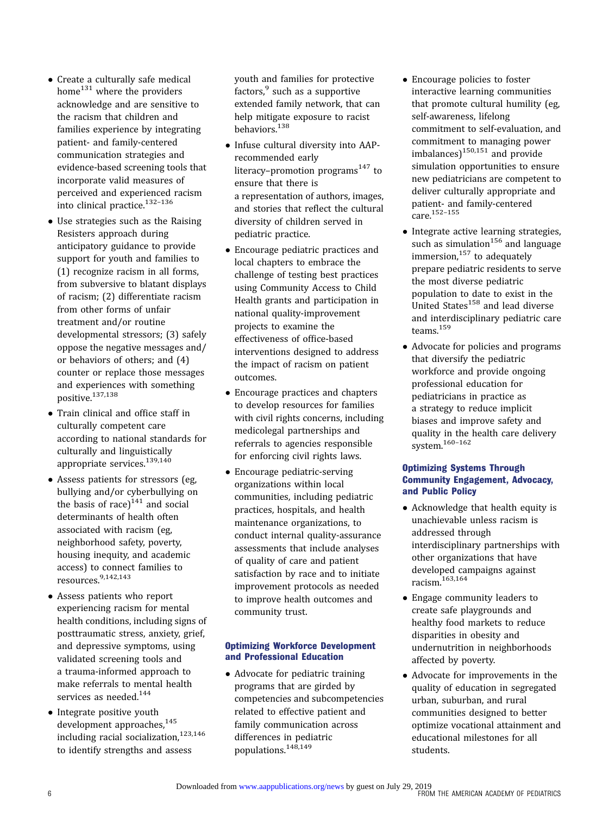- Create a culturally safe medical home<sup>[131](#page-11-0)</sup> where the providers acknowledge and are sensitive to the racism that children and families experience by integrating patient- and family-centered communication strategies and evidence-based screening tools that incorporate valid measures of perceived and experienced racism into clinical practice.[132](#page-11-0)–[136](#page-11-0)
- Use strategies such as the Raising Resisters approach during anticipatory guidance to provide support for youth and families to (1) recognize racism in all forms, from subversive to blatant displays of racism; (2) differentiate racism from other forms of unfair treatment and/or routine developmental stressors; (3) safely oppose the negative messages and/ or behaviors of others; and (4) counter or replace those messages and experiences with something positive[.137](#page-11-0),[138](#page-11-0)
- Train clinical and office staff in culturally competent care according to national standards for culturally and linguistically appropriate services.<sup>[139,140](#page-11-0)</sup>
- Assess patients for stressors (eg, bullying and/or cyberbullying on the basis of race)<sup>[141](#page-11-0)</sup> and social determinants of health often associated with racism (eg, neighborhood safety, poverty, housing inequity, and academic access) to connect families to resources.[9,](#page-7-0)[142,143](#page-11-0)
- Assess patients who report experiencing racism for mental health conditions, including signs of posttraumatic stress, anxiety, grief, and depressive symptoms, using validated screening tools and a trauma-informed approach to make referrals to mental health services as needed.<sup>144</sup>
- Integrate positive youth development approaches, 145 including racial socialization,<sup>[123](#page-11-0),[146](#page-12-0)</sup> to identify strengths and assess

youth and families for protective factors, $9$  such as a supportive extended family network, that can help mitigate exposure to racist behaviors[.138](#page-11-0)

- Infuse cultural diversity into AAPrecommended early literacy–promotion programs $147$  to ensure that there is a representation of authors, images, and stories that reflect the cultural diversity of children served in pediatric practice.
- Encourage pediatric practices and local chapters to embrace the challenge of testing best practices using Community Access to Child Health grants and participation in national quality-improvement projects to examine the effectiveness of office-based interventions designed to address the impact of racism on patient outcomes.
- Encourage practices and chapters to develop resources for families with civil rights concerns, including medicolegal partnerships and referrals to agencies responsible for enforcing civil rights laws.
- Encourage pediatric-serving organizations within local communities, including pediatric practices, hospitals, and health maintenance organizations, to conduct internal quality-assurance assessments that include analyses of quality of care and patient satisfaction by race and to initiate improvement protocols as needed to improve health outcomes and community trust.

#### Optimizing Workforce Development and Professional Education

• Advocate for pediatric training programs that are girded by competencies and subcompetencies related to effective patient and family communication across differences in pediatric populations.[148](#page-12-0),[149](#page-12-0)

- Encourage policies to foster interactive learning communities that promote cultural humility (eg, self-awareness, lifelong commitment to self-evaluation, and commitment to managing power imbalances) $150,151$  and provide simulation opportunities to ensure new pediatricians are competent to deliver culturally appropriate and patient- and family-centered care[.152](#page-12-0)–[155](#page-12-0)
- Integrate active learning strategies, such as simulation $156$  and language  $\frac{157}{157}$  $\frac{157}{157}$  $\frac{157}{157}$  to adequately prepare pediatric residents to serve the most diverse pediatric population to date to exist in the United States<sup>[158](#page-12-0)</sup> and lead diverse and interdisciplinary pediatric care teams.<sup>[159](#page-12-0)</sup>
- Advocate for policies and programs that diversify the pediatric workforce and provide ongoing professional education for pediatricians in practice as a strategy to reduce implicit biases and improve safety and quality in the health care delivery system.[160](#page-12-0)–[162](#page-12-0)

#### Optimizing Systems Through Community Engagement, Advocacy, and Public Policy

- Acknowledge that health equity is unachievable unless racism is addressed through interdisciplinary partnerships with other organizations that have developed campaigns against racism[.163,164](#page-12-0)
- Engage community leaders to create safe playgrounds and healthy food markets to reduce disparities in obesity and undernutrition in neighborhoods affected by poverty.
- Advocate for improvements in the quality of education in segregated urban, suburban, and rural communities designed to better optimize vocational attainment and educational milestones for all students.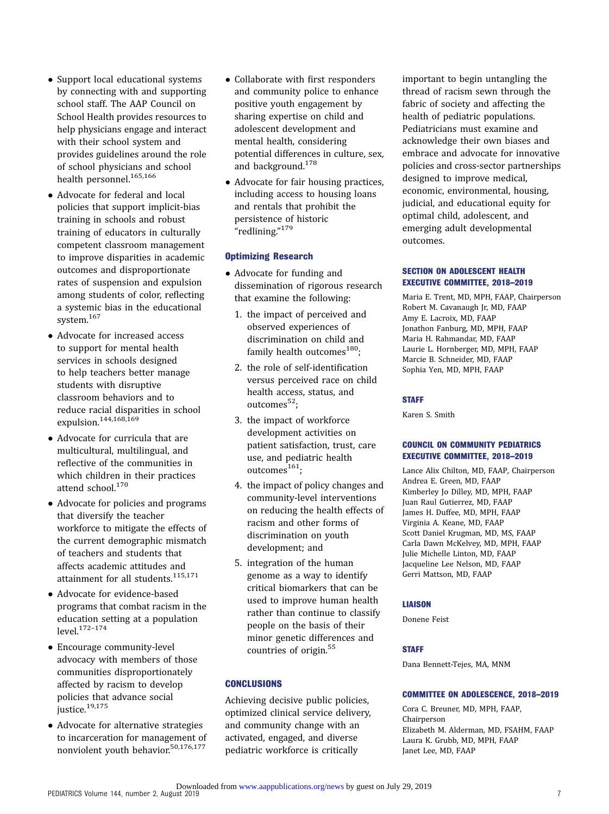- Support local educational systems by connecting with and supporting school staff. The AAP Council on School Health provides resources to help physicians engage and interact with their school system and provides guidelines around the role of school physicians and school health personnel.<sup>165,166</sup>
- Advocate for federal and local policies that support implicit-bias training in schools and robust training of educators in culturally competent classroom management to improve disparities in academic outcomes and disproportionate rates of suspension and expulsion among students of color, reflecting a systemic bias in the educational system[.167](#page-12-0)
- Advocate for increased access to support for mental health services in schools designed to help teachers better manage students with disruptive classroom behaviors and to reduce racial disparities in school expulsion.[144](#page-11-0),[168](#page-12-0),[169](#page-12-0)
- Advocate for curricula that are multicultural, multilingual, and reflective of the communities in which children in their practices attend school.<sup>[170](#page-12-0)</sup>
- Advocate for policies and programs that diversify the teacher workforce to mitigate the effects of the current demographic mismatch of teachers and students that affects academic attitudes and attainment for all students.<sup>[115,](#page-11-0)[171](#page-12-0)</sup>
- Advocate for evidence-based programs that combat racism in the education setting at a population level.[172](#page-12-0)–[174](#page-12-0)
- Encourage community-level advocacy with members of those communities disproportionately affected by racism to develop policies that advance social justice.<sup>[19,](#page-8-0)[175](#page-13-0)</sup>
- Advocate for alternative strategies to incarceration for management of nonviolent youth behavior.<sup>[50](#page-9-0),[176](#page-13-0),[177](#page-13-0)</sup>
- Collaborate with first responders and community police to enhance positive youth engagement by sharing expertise on child and adolescent development and mental health, considering potential differences in culture, sex, and background.[178](#page-13-0)
- Advocate for fair housing practices, including access to housing loans and rentals that prohibit the persistence of historic "redlining." [179](#page-13-0)

#### Optimizing Research

- Advocate for funding and dissemination of rigorous research that examine the following:
	- 1. the impact of perceived and observed experiences of discrimination on child and family health outcomes<sup>[180](#page-13-0)</sup>;
	- 2. the role of self-identification versus perceived race on child health access, status, and outcomes<sup>52</sup>:
	- 3. the impact of workforce development activities on patient satisfaction, trust, care use, and pediatric health outcomes $161$ :
	- 4. the impact of policy changes and community-level interventions on reducing the health effects of racism and other forms of discrimination on youth development; and
	- 5. integration of the human genome as a way to identify critical biomarkers that can be used to improve human health rather than continue to classify people on the basis of their minor genetic differences and countries of origin.[55](#page-9-0)

#### **CONCLUSIONS**

Achieving decisive public policies, optimized clinical service delivery, and community change with an activated, engaged, and diverse pediatric workforce is critically

important to begin untangling the thread of racism sewn through the fabric of society and affecting the health of pediatric populations. Pediatricians must examine and acknowledge their own biases and embrace and advocate for innovative policies and cross-sector partnerships designed to improve medical, economic, environmental, housing, judicial, and educational equity for optimal child, adolescent, and emerging adult developmental outcomes.

#### SECTION ON ADOLESCENT HEALTH EXECUTIVE COMMITTEE, 2018–2019

Maria E. Trent, MD, MPH, FAAP, Chairperson Robert M. Cavanaugh Jr, MD, FAAP Amy E. Lacroix, MD, FAAP Jonathon Fanburg, MD, MPH, FAAP Maria H. Rahmandar, MD, FAAP Laurie L. Hornberger, MD, MPH, FAAP Marcie B. Schneider, MD, FAAP Sophia Yen, MD, MPH, FAAP

#### **STAFF**

Karen S. Smith

#### COUNCIL ON COMMUNITY PEDIATRICS EXECUTIVE COMMITTEE, 2018–2019

Lance Alix Chilton, MD, FAAP, Chairperson Andrea E. Green, MD, FAAP Kimberley Jo Dilley, MD, MPH, FAAP Juan Raul Gutierrez, MD, FAAP James H. Duffee, MD, MPH, FAAP Virginia A. Keane, MD, FAAP Scott Daniel Krugman, MD, MS, FAAP Carla Dawn McKelvey, MD, MPH, FAAP Julie Michelle Linton, MD, FAAP Jacqueline Lee Nelson, MD, FAAP Gerri Mattson, MD, FAAP

#### LIAISON

Donene Feist

#### **STAFF**

Dana Bennett-Tejes, MA, MNM

#### COMMITTEE ON ADOLESCENCE, 2018–2019

Cora C. Breuner, MD, MPH, FAAP, Chairperson Elizabeth M. Alderman, MD, FSAHM, FAAP Laura K. Grubb, MD, MPH, FAAP Janet Lee, MD, FAAP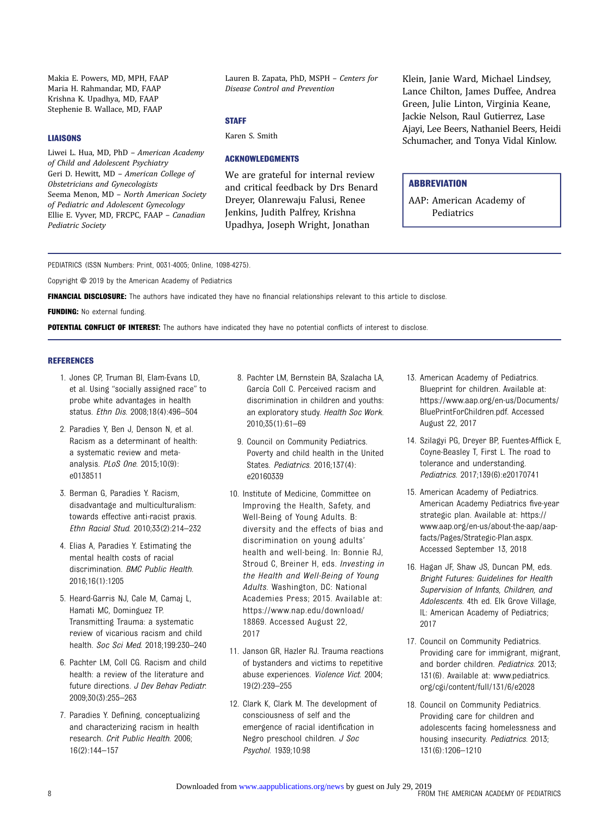<span id="page-7-0"></span>Makia E. Powers, MD, MPH, FAAP Maria H. Rahmandar, MD, FAAP Krishna K. Upadhya, MD, FAAP Stephenie B. Wallace, MD, FAAP

#### LIAISONS

Liwei L. Hua, MD, PhD – American Academy of Child and Adolescent Psychiatry Geri D. Hewitt, MD – American College of Obstetricians and Gynecologists Seema Menon, MD – North American Society of Pediatric and Adolescent Gynecology Ellie E. Vyver, MD, FRCPC, FAAP – Canadian Pediatric Society

Lauren B. Zapata, PhD, MSPH – Centers for Disease Control and Prevention

#### **STAFF**

Karen S. Smith

#### ACKNOWLEDGMENTS

We are grateful for internal review and critical feedback by Drs Benard Dreyer, Olanrewaju Falusi, Renee Jenkins, Judith Palfrey, Krishna Upadhya, Joseph Wright, Jonathan

Klein, Janie Ward, Michael Lindsey, Lance Chilton, James Duffee, Andrea Green, Julie Linton, Virginia Keane, Jackie Nelson, Raul Gutierrez, Lase Ajayi, Lee Beers, Nathaniel Beers, Heidi Schumacher, and Tonya Vidal Kinlow.

#### **ABBREVIATION**

AAP: American Academy of Pediatrics

PEDIATRICS (ISSN Numbers: Print, 0031-4005; Online, 1098-4275).

Copyright © 2019 by the American Academy of Pediatrics

FINANCIAL DISCLOSURE: The authors have indicated they have no financial relationships relevant to this article to disclose.

FUNDING: No external funding.

POTENTIAL CONFLICT OF INTEREST: The authors have indicated they have no potential conflicts of interest to disclose.

#### REFERENCES

- 1. Jones CP, Truman BI, Elam-Evans LD, et al. Using "socially assigned race" to probe white advantages in health status. Ethn Dis. 2008;18(4):496–504
- 2. Paradies Y, Ben J, Denson N, et al. Racism as a determinant of health: a systematic review and metaanalysis. PLoS One. 2015;10(9): e0138511
- 3. Berman G, Paradies Y. Racism, disadvantage and multiculturalism: towards effective anti-racist praxis. Ethn Racial Stud. 2010;33(2):214–232
- 4. Elias A, Paradies Y. Estimating the mental health costs of racial discrimination. BMC Public Health. 2016;16(1):1205
- 5. Heard-Garris NJ, Cale M, Camaj L, Hamati MC, Dominguez TP. Transmitting Trauma: a systematic review of vicarious racism and child health. Soc Sci Med. 2018;199:230–240
- 6. Pachter LM, Coll CG. Racism and child health: a review of the literature and future directions. J Dev Behav Pediatr. 2009;30(3):255–263
- 7. Paradies Y. Defining, conceptualizing and characterizing racism in health research. Crit Public Health. 2006; 16(2):144–157
- 8. Pachter LM, Bernstein BA, Szalacha LA, García Coll C. Perceived racism and discrimination in children and youths: an exploratory study. Health Soc Work. 2010;35(1):61–69
- 9. Council on Community Pediatrics. Poverty and child health in the United States. Pediatrics. 2016;137(4): e20160339
- 10. Institute of Medicine, Committee on Improving the Health, Safety, and Well-Being of Young Adults. B: diversity and the effects of bias and discrimination on young adults' health and well-being. In: Bonnie RJ, Stroud C, Breiner H, eds. Investing in the Health and Well-Being of Young Adults. Washington, DC: National Academies Press; 2015. Available at: https://www.nap.edu/download/ 18869. Accessed August 22, 2017
- 11. Janson GR, Hazler RJ. Trauma reactions of bystanders and victims to repetitive abuse experiences. Violence Vict. 2004; 19(2):239–255
- 12. Clark K, Clark M. The development of consciousness of self and the emergence of racial identification in Negro preschool children. J Soc Psychol. 1939;10:98
- 13. American Academy of Pediatrics. Blueprint for children. Available at: https://www.aap.org/en-us/Documents/ BluePrintForChildren.pdf. Accessed August 22, 2017
- 14. Szilagyi PG, Dreyer BP, Fuentes-Afflick E, Coyne-Beasley T, First L. The road to tolerance and understanding. Pediatrics. 2017;139(6):e20170741
- 15. American Academy of Pediatrics. American Academy Pediatrics five-year strategic plan. Available at: https:// www.aap.org/en-us/about-the-aap/aapfacts/Pages/Strategic-Plan.aspx. Accessed September 13, 2018
- 16. Hagan JF, Shaw JS, Duncan PM, eds. Bright Futures: Guidelines for Health Supervision of Infants, Children, and Adolescents. 4th ed. Elk Grove Village, IL: American Academy of Pediatrics; 2017
- 17. Council on Community Pediatrics. Providing care for immigrant, migrant, and border children. Pediatrics. 2013; 131(6). Available at: www.pediatrics. org/cgi/content/full/131/6/e2028
- 18. Council on Community Pediatrics. Providing care for children and adolescents facing homelessness and housing insecurity. Pediatrics. 2013; 131(6):1206–1210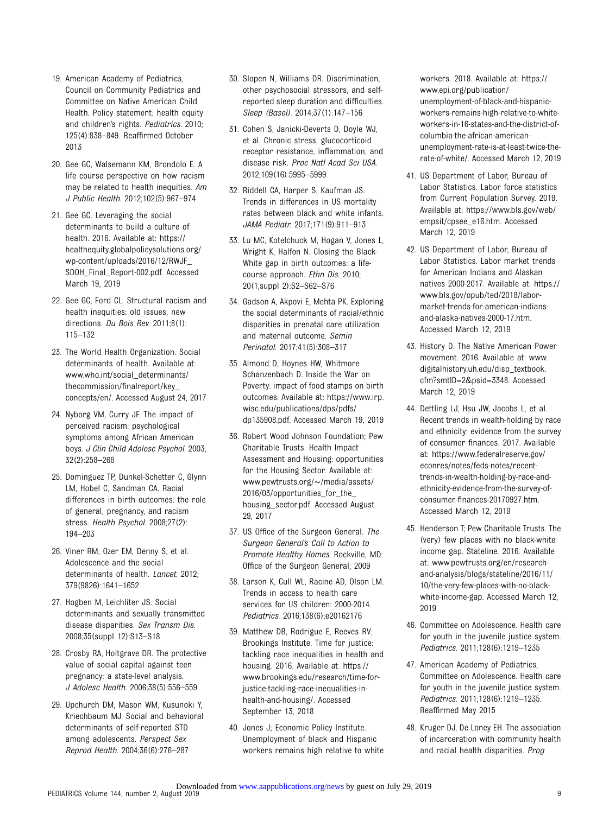- <span id="page-8-0"></span>19. American Academy of Pediatrics, Council on Community Pediatrics and Committee on Native American Child Health. Policy statement: health equity and children's rights. Pediatrics. 2010; 125(4):838–849. Reaffirmed October 2013
- 20. Gee GC, Walsemann KM, Brondolo E. A life course perspective on how racism may be related to health inequities. Am J Public Health. 2012;102(5):967–974
- 21. Gee GC. Leveraging the social determinants to build a culture of health. 2016. Available at: https:// healthequity.globalpolicysolutions.org/ wp-content/uploads/2016/12/RWJF\_ SDOH\_Final\_Report-002.pdf. Accessed March 19, 2019
- 22. Gee GC, Ford CL. Structural racism and health inequities: old issues, new directions. Du Bois Rev. 2011;8(1): 115–132
- 23. The World Health Organization. Social determinants of health. Available at: www.who.int/social\_determinants/ thecommission/finalreport/key\_ concepts/en/. Accessed August 24, 2017
- 24. Nyborg VM, Curry JF. The impact of perceived racism: psychological symptoms among African American boys. J Clin Child Adolesc Psychol. 2003; 32(2):258–266
- 25. Dominguez TP, Dunkel-Schetter C, Glynn LM, Hobel C, Sandman CA. Racial differences in birth outcomes: the role of general, pregnancy, and racism stress. Health Psychol. 2008;27(2): 194–203
- 26. Viner RM, Ozer EM, Denny S, et al. Adolescence and the social determinants of health. Lancet. 2012; 379(9826):1641–1652
- 27. Hogben M, Leichliter JS. Social determinants and sexually transmitted disease disparities. Sex Transm Dis. 2008;35(suppl 12):S13–S18
- 28. Crosby RA, Holtgrave DR. The protective value of social capital against teen pregnancy: a state-level analysis. J Adolesc Health. 2006;38(5):556–559
- 29. Upchurch DM, Mason WM, Kusunoki Y, Kriechbaum MJ. Social and behavioral determinants of self-reported STD among adolescents. Perspect Sex Reprod Health. 2004;36(6):276–287
- 30. Slopen N, Williams DR. Discrimination, other psychosocial stressors, and selfreported sleep duration and difficulties. Sleep (Basel). 2014;37(1):147–156
- 31. Cohen S, Janicki-Deverts D, Doyle WJ, et al. Chronic stress, glucocorticoid receptor resistance, inflammation, and disease risk. Proc Natl Acad Sci USA. 2012;109(16):5995–5999
- 32. Riddell CA, Harper S, Kaufman JS. Trends in differences in US mortality rates between black and white infants. JAMA Pediatr. 2017;171(9):911–913
- 33. Lu MC, Kotelchuck M, Hogan V, Jones L, Wright K, Halfon N. Closing the Black-White gap in birth outcomes: a lifecourse approach. Ethn Dis. 2010; 20(1,suppl 2):S2–S62–S76
- 34. Gadson A, Akpovi E, Mehta PK. Exploring the social determinants of racial/ethnic disparities in prenatal care utilization and maternal outcome. Semin Perinatol. 2017;41(5):308–317
- 35. Almond D, Hoynes HW, Whitmore Schanzenbach D. Inside the War on Poverty: impact of food stamps on birth outcomes. Available at: https://www.irp. wisc.edu/publications/dps/pdfs/ dp135908.pdf. Accessed March 19, 2019
- 36. Robert Wood Johnson Foundation; Pew Charitable Trusts. Health Impact Assessment and Housing: opportunities for the Housing Sector. Available at: www.pewtrusts.org/∼/media/assets/ 2016/03/opportunities for the housing\_sector.pdf. Accessed August 29, 2017
- 37. US Office of the Surgeon General. The Surgeon General's Call to Action to Promote Healthy Homes. Rockville, MD: Office of the Surgeon General; 2009
- 38. Larson K, Cull WL, Racine AD, Olson LM. Trends in access to health care services for US children: 2000-2014. Pediatrics. 2016;138(6):e20162176
- 39. Matthew DB, Rodrigue E, Reeves RV; Brookings Institute. Time for justice: tackling race inequalities in health and housing. 2016. Available at: https:// www.brookings.edu/research/time-forjustice-tackling-race-inequalities-inhealth-and-housing/. Accessed September 13, 2018
- 40. Jones J; Economic Policy Institute. Unemployment of black and Hispanic workers remains high relative to white

workers. 2018. Available at: https:// www.epi.org/publication/ unemployment-of-black-and-hispanicworkers-remains-high-relative-to-whiteworkers-in-16-states-and-the-district-ofcolumbia-the-african-americanunemployment-rate-is-at-least-twice-therate-of-white/. Accessed March 12, 2019

- 41. US Department of Labor, Bureau of Labor Statistics. Labor force statistics from Current Population Survey. 2019. Available at: https://www.bls.gov/web/ empsit/cpsee\_e16.htm. Accessed March 12, 2019
- 42. US Department of Labor, Bureau of Labor Statistics. Labor market trends for American Indians and Alaskan natives 2000-2017. Available at: https:// www.bls.gov/opub/ted/2018/labormarket-trends-for-american-indiansand-alaska-natives-2000-17.htm. Accessed March 12, 2019
- 43. History D. The Native American Power movement. 2016. Available at: www. digitalhistory.uh.edu/disp\_textbook. cfm?smtID=2&psid=3348. Accessed March 12, 2019
- 44. Dettling LJ, Hsu JW, Jacobs L, et al. Recent trends in wealth-holding by race and ethnicity: evidence from the survey of consumer finances. 2017. Available at: https://www.federalreserve.gov/ econres/notes/feds-notes/recenttrends-in-wealth-holding-by-race-andethnicity-evidence-from-the-survey-ofconsumer-finances-20170927.htm. Accessed March 12, 2019
- 45. Henderson T; Pew Charitable Trusts. The (very) few places with no black-white income gap. Stateline. 2016. Available at: www.pewtrusts.org/en/researchand-analysis/blogs/stateline/2016/11/ 10/the-very-few-places-with-no-blackwhite-income-gap. Accessed March 12, 2019
- 46. Committee on Adolescence. Health care for youth in the juvenile justice system. Pediatrics. 2011;128(6):1219–1235
- 47. American Academy of Pediatrics, Committee on Adolescence. Health care for youth in the juvenile justice system. Pediatrics. 2011;128(6):1219–1235. Reaffirmed May 2015
- 48. Kruger DJ, De Loney EH. The association of incarceration with community health and racial health disparities. Prog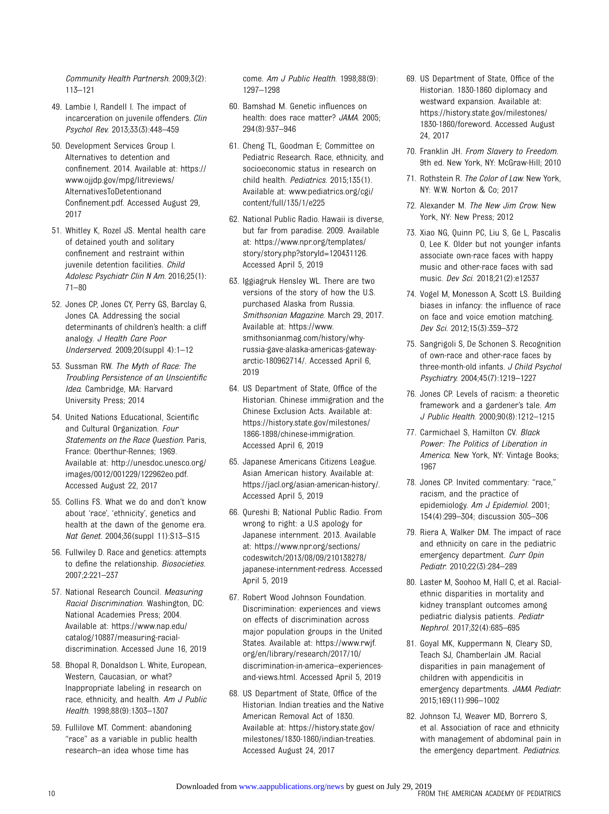<span id="page-9-0"></span>Community Health Partnersh. 2009;3(2): 113–121

- 49. Lambie I, Randell I. The impact of incarceration on juvenile offenders. Clin Psychol Rev. 2013;33(3):448–459
- 50. Development Services Group I. Alternatives to detention and confinement. 2014. Available at: https:// www.ojjdp.gov/mpg/litreviews/ AlternativesToDetentionand Confinement.pdf. Accessed August 29, 2017
- 51. Whitley K, Rozel JS. Mental health care of detained youth and solitary confinement and restraint within juvenile detention facilities. Child Adolesc Psychiatr Clin N Am. 2016;25(1): 71–80
- 52. Jones CP, Jones CY, Perry GS, Barclay G, Jones CA. Addressing the social determinants of children's health: a cliff analogy. J Health Care Poor Underserved. 2009;20(suppl 4):1–12
- 53. Sussman RW. The Myth of Race: The Troubling Persistence of an Unscientific Idea. Cambridge, MA: Harvard University Press; 2014
- 54. United Nations Educational, Scientific and Cultural Organization. Four Statements on the Race Ouestion. Paris, France: Oberthur-Rennes; 1969. Available at: http://unesdoc.unesco.org/ images/0012/001229/122962eo.pdf. Accessed August 22, 2017
- 55. Collins FS. What we do and don't know about 'race', 'ethnicity', genetics and health at the dawn of the genome era. Nat Genet. 2004;36(suppl 11):S13–S15
- 56. Fullwiley D. Race and genetics: attempts to define the relationship. Biosocieties. 2007;2:221–237
- 57. National Research Council. Measuring Racial Discrimination. Washington, DC: National Academies Press; 2004. Available at: https://www.nap.edu/ catalog/10887/measuring-racialdiscrimination. Accessed June 16, 2019
- 58. Bhopal R, Donaldson L. White, European, Western, Caucasian, or what? Inappropriate labeling in research on race, ethnicity, and health. Am J Public Health. 1998;88(9):1303–1307
- 59. Fullilove MT. Comment: abandoning "race" as a variable in public health research–an idea whose time has

come. Am J Public Health. 1998;88(9): 1297–1298

- 60. Bamshad M. Genetic influences on health: does race matter? JAMA. 2005; 294(8):937–946
- 61. Cheng TL, Goodman E; Committee on Pediatric Research. Race, ethnicity, and socioeconomic status in research on child health. Pediatrics. 2015;135(1). Available at: www.pediatrics.org/cgi/ content/full/135/1/e225
- 62. National Public Radio. Hawaii is diverse, but far from paradise. 2009. Available at: https://www.npr.org/templates/ story/story.php?storyId=120431126. Accessed April 5, 2019
- 63. Iggiagruk Hensley WL. There are two versions of the story of how the U.S. purchased Alaska from Russia. Smithsonian Magazine. March 29, 2017. Available at: https://www. smithsonianmag.com/history/whyrussia-gave-alaska-americas-gatewayarctic-180962714/. Accessed April 6, 2019
- 64. US Department of State, Office of the Historian. Chinese immigration and the Chinese Exclusion Acts. Available at: https://history.state.gov/milestones/ 1866-1898/chinese-immigration. Accessed April 6, 2019
- 65. Japanese Americans Citizens League. Asian American history. Available at: https://jacl.org/asian-american-history/. Accessed April 5, 2019
- 66. Qureshi B; National Public Radio. From wrong to right: a U.S apology for Japanese internment. 2013. Available at: https://www.npr.org/sections/ codeswitch/2013/08/09/210138278/ japanese-internment-redress. Accessed April 5, 2019
- 67. Robert Wood Johnson Foundation. Discrimination: experiences and views on effects of discrimination across major population groups in the United States. Available at: https://www.rwjf. org/en/library/research/2017/10/ discrimination-in-america–experiencesand-views.html. Accessed April 5, 2019
- 68. US Department of State, Office of the Historian. Indian treaties and the Native American Removal Act of 1830. Available at: https://history.state.gov/ milestones/1830-1860/indian-treaties. Accessed August 24, 2017
- 69. US Department of State, Office of the Historian. 1830-1860 diplomacy and westward expansion. Available at: https://history.state.gov/milestones/ 1830-1860/foreword. Accessed August 24, 2017
- 70. Franklin JH. From Slavery to Freedom. 9th ed. New York, NY: McGraw-Hill; 2010
- 71. Rothstein R. The Color of Law. New York, NY: W.W. Norton & Co; 2017
- 72. Alexander M. The New Jim Crow. New York, NY: New Press; 2012
- 73. Xiao NG, Quinn PC, Liu S, Ge L, Pascalis O, Lee K. Older but not younger infants associate own-race faces with happy music and other-race faces with sad music. Dev Sci. 2018;21(2):e12537
- 74. Vogel M, Monesson A, Scott LS. Building biases in infancy: the influence of race on face and voice emotion matching. Dev Sci. 2012;15(3):359–372
- 75. Sangrigoli S, De Schonen S. Recognition of own-race and other-race faces by three-month-old infants. J Child Psychol Psychiatry. 2004;45(7):1219–1227
- 76. Jones CP. Levels of racism: a theoretic framework and a gardener's tale. Am J Public Health. 2000;90(8):1212–1215
- 77. Carmichael S, Hamilton CV. Black Power: The Politics of Liberation in America. New York, NY: Vintage Books; 1967
- 78. Jones CP. Invited commentary: "race," racism, and the practice of epidemiology. Am J Epidemiol. 2001; 154(4):299–304; discussion 305–306
- 79. Riera A, Walker DM. The impact of race and ethnicity on care in the pediatric emergency department. Curr Opin Pediatr. 2010;22(3):284–289
- 80. Laster M, Soohoo M, Hall C, et al. Racialethnic disparities in mortality and kidney transplant outcomes among pediatric dialysis patients. Pediatr Nephrol. 2017;32(4):685–695
- 81. Goyal MK, Kuppermann N, Cleary SD, Teach SJ, Chamberlain JM. Racial disparities in pain management of children with appendicitis in emergency departments. JAMA Pediatr. 2015;169(11):996–1002
- 82. Johnson TJ, Weaver MD, Borrero S, et al. Association of race and ethnicity with management of abdominal pain in the emergency department. Pediatrics.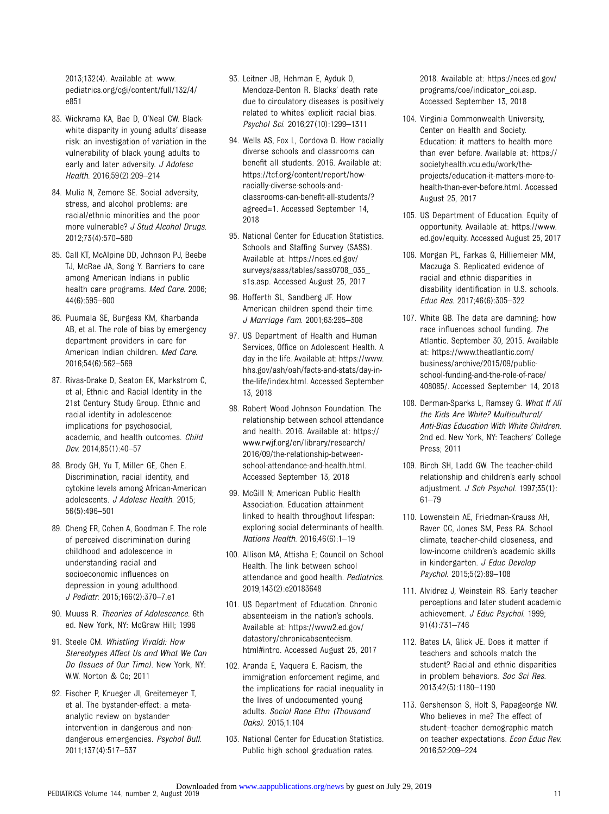<span id="page-10-0"></span>2013;132(4). Available at: www. pediatrics.org/cgi/content/full/132/4/ e851

- 83. Wickrama KA, Bae D, O'Neal CW. Blackwhite disparity in young adults' disease risk: an investigation of variation in the vulnerability of black young adults to early and later adversity. J Adolesc Health. 2016;59(2):209–214
- 84. Mulia N, Zemore SE. Social adversity, stress, and alcohol problems: are racial/ethnic minorities and the poor more vulnerable? J Stud Alcohol Drugs. 2012;73(4):570–580
- 85. Call KT, McAlpine DD, Johnson PJ, Beebe TJ, McRae JA, Song Y. Barriers to care among American Indians in public health care programs. Med Care. 2006; 44(6):595–600
- 86. Puumala SE, Burgess KM, Kharbanda AB, et al. The role of bias by emergency department providers in care for American Indian children. Med Care. 2016;54(6):562–569
- 87. Rivas-Drake D, Seaton EK, Markstrom C, et al; Ethnic and Racial Identity in the 21st Century Study Group. Ethnic and racial identity in adolescence: implications for psychosocial, academic, and health outcomes. Child Dev. 2014;85(1):40–57
- 88. Brody GH, Yu T, Miller GE, Chen E. Discrimination, racial identity, and cytokine levels among African-American adolescents. J Adolesc Health. 2015; 56(5):496–501
- 89. Cheng ER, Cohen A, Goodman E. The role of perceived discrimination during childhood and adolescence in understanding racial and socioeconomic influences on depression in young adulthood. J Pediatr. 2015;166(2):370–7.e1
- 90. Muuss R. Theories of Adolescence. 6th ed. New York, NY: McGraw Hill; 1996
- 91. Steele CM. Whistling Vivaldi: How Stereotypes Affect Us and What We Can Do (Issues of Our Time). New York, NY: W.W. Norton & Co; 2011
- 92. Fischer P, Krueger JI, Greitemeyer T, et al. The bystander-effect: a metaanalytic review on bystander intervention in dangerous and nondangerous emergencies. Psychol Bull. 2011;137(4):517–537
- 93. Leitner JB, Hehman E, Ayduk O, Mendoza-Denton R. Blacks' death rate due to circulatory diseases is positively related to whites' explicit racial bias. Psychol Sci. 2016;27(10):1299–1311
- 94. Wells AS, Fox L, Cordova D. How racially diverse schools and classrooms can benefit all students. 2016. Available at: https://tcf.org/content/report/howracially-diverse-schools-andclassrooms-can-benefit-all-students/? agreed=1. Accessed September 14, 2018
- 95. National Center for Education Statistics. Schools and Staffing Survey (SASS). Available at: https://nces.ed.gov/ surveys/sass/tables/sass0708\_035\_ s1s.asp. Accessed August 25, 2017
- 96. Hofferth SL, Sandberg JF. How American children spend their time. J Marriage Fam. 2001;63:295–308
- 97. US Department of Health and Human Services, Office on Adolescent Health. A day in the life. Available at: https://www. hhs.gov/ash/oah/facts-and-stats/day-inthe-life/index.html. Accessed September 13, 2018
- 98. Robert Wood Johnson Foundation. The relationship between school attendance and health. 2016. Available at: https:// www.rwjf.org/en/library/research/ 2016/09/the-relationship-betweenschool-attendance-and-health.html. Accessed September 13, 2018
- 99. McGill N; American Public Health Association. Education attainment linked to health throughout lifespan: exploring social determinants of health. Nations Health. 2016;46(6):1–19
- 100. Allison MA, Attisha E; Council on School Health. The link between school attendance and good health. Pediatrics. 2019;143(2):e20183648
- 101. US Department of Education. Chronic absenteeism in the nation's schools. Available at: https://www2.ed.gov/ datastory/chronicabsenteeism. html#intro. Accessed August 25, 2017
- 102. Aranda E, Vaquera E. Racism, the immigration enforcement regime, and the implications for racial inequality in the lives of undocumented young adults. Sociol Race Ethn (Thousand Oaks). 2015;1:104
- 103. National Center for Education Statistics. Public high school graduation rates.

2018. Available at: https://nces.ed.gov/ programs/coe/indicator\_coi.asp. Accessed September 13, 2018

- 104. Virginia Commonwealth University, Center on Health and Society. Education: it matters to health more than ever before. Available at: https:// societyhealth.vcu.edu/work/theprojects/education-it-matters-more-tohealth-than-ever-before.html. Accessed August 25, 2017
- 105. US Department of Education. Equity of opportunity. Available at: https://www. ed.gov/equity. Accessed August 25, 2017
- 106. Morgan PL, Farkas G, Hilliemeier MM, Maczuga S. Replicated evidence of racial and ethnic disparities in disability identification in U.S. schools. Educ Res. 2017;46(6):305–322
- 107. White GB. The data are damning: how race influences school funding. The Atlantic. September 30, 2015. Available at: https://www.theatlantic.com/ business/archive/2015/09/publicschool-funding-and-the-role-of-race/ 408085/. Accessed September 14, 2018
- 108. Derman-Sparks L, Ramsey G. What If All the Kids Are White? Multicultural/ Anti-Bias Education With White Children. 2nd ed. New York, NY: Teachers' College Press; 2011
- 109. Birch SH, Ladd GW. The teacher-child relationship and children's early school adjustment. J Sch Psychol. 1997;35(1): 61–79
- 110. Lowenstein AE, Friedman-Krauss AH, Raver CC, Jones SM, Pess RA. School climate, teacher-child closeness, and low-income children's academic skills in kindergarten. J Educ Develop Psychol. 2015;5(2):89–108
- 111. Alvidrez J, Weinstein RS. Early teacher perceptions and later student academic achievement. J Educ Psychol. 1999; 91(4):731–746
- 112. Bates LA, Glick JE. Does it matter if teachers and schools match the student? Racial and ethnic disparities in problem behaviors. Soc Sci Res. 2013;42(5):1180–1190
- 113. Gershenson S, Holt S, Papageorge NW. Who believes in me? The effect of student–teacher demographic match on teacher expectations. Econ Educ Rev. 2016;52:209–224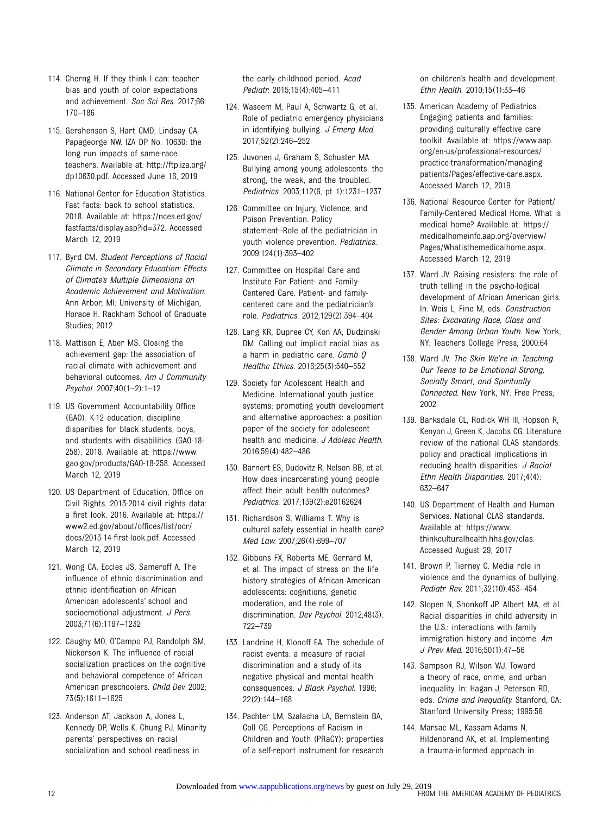- <span id="page-11-0"></span>114. Cherng H. If they think I can: teacher bias and youth of color expectations and achievement. Soc Sci Res. 2017;66: 170–186
- 115. Gershenson S, Hart CMD, Lindsay CA, Papageorge NW. IZA DP No. 10630: the long run impacts of same-race teachers. Available at: http://ftp.iza.org/ dp10630.pdf. Accessed June 16, 2019
- 116. National Center for Education Statistics. Fast facts: back to school statistics. 2018. Available at: https://nces.ed.gov/ fastfacts/display.asp?id=372. Accessed March 12, 2019
- 117. Byrd CM. Student Perceptions of Racial Climate in Secondary Education: Effects of Climate's Multiple Dimensions on Academic Achievement and Motivation. Ann Arbor, MI: University of Michigan, Horace H. Rackham School of Graduate Studies; 2012
- 118. Mattison E, Aber MS. Closing the achievement gap: the association of racial climate with achievement and behavioral outcomes. Am J Community Psychol. 2007;40(1–2):1–12
- 119. US Government Accountability Office (GAO). K-12 education: discipline disparities for black students, boys, and students with disabilities (GAO-18- 258). 2018. Available at: https://www. gao.gov/products/GAO-18-258. Accessed March 12, 2019
- 120. US Department of Education, Office on Civil Rights. 2013-2014 civil rights data: a first look. 2016. Available at: https:// www2.ed.gov/about/offices/list/ocr/ docs/2013-14-first-look.pdf. Accessed March 12, 2019
- 121. Wong CA, Eccles JS, Sameroff A. The influence of ethnic discrimination and ethnic identification on African American adolescents' school and socioemotional adjustment. J Pers. 2003;71(6):1197–1232
- 122. Caughy MO, O'Campo PJ, Randolph SM, Nickerson K. The influence of racial socialization practices on the cognitive and behavioral competence of African American preschoolers. Child Dev. 2002; 73(5):1611–1625
- 123. Anderson AT, Jackson A, Jones L, Kennedy DP, Wells K, Chung PJ. Minority parents' perspectives on racial socialization and school readiness in

the early childhood period. Acad Pediatr. 2015;15(4):405–411

- 124. Waseem M, Paul A, Schwartz G, et al. Role of pediatric emergency physicians in identifying bullying. J Emerg Med. 2017;52(2):246–252
- 125. Juvonen J, Graham S, Schuster MA. Bullying among young adolescents: the strong, the weak, and the troubled. Pediatrics. 2003;112(6, pt 1):1231–1237
- 126. Committee on Injury, Violence, and Poison Prevention. Policy statement–Role of the pediatrician in youth violence prevention. Pediatrics. 2009;124(1):393–402
- 127. Committee on Hospital Care and Institute For Patient- and Family-Centered Care. Patient- and familycentered care and the pediatrician's role. Pediatrics. 2012;129(2):394–404
- 128. Lang KR, Dupree CY, Kon AA, Dudzinski DM. Calling out implicit racial bias as a harm in pediatric care. Camb Q Healthc Ethics. 2016;25(3):540–552
- 129. Society for Adolescent Health and Medicine. International youth justice systems: promoting youth development and alternative approaches: a position paper of the society for adolescent health and medicine. J Adolesc Health. 2016;59(4):482–486
- 130. Barnert ES, Dudovitz R, Nelson BB, et al. How does incarcerating young people affect their adult health outcomes? Pediatrics. 2017;139(2):e20162624
- 131. Richardson S, Williams T. Why is cultural safety essential in health care? Med Law. 2007;26(4):699–707
- 132. Gibbons FX, Roberts ME, Gerrard M, et al. The impact of stress on the life history strategies of African American adolescents: cognitions, genetic moderation, and the role of discrimination. Dev Psychol. 2012;48(3): 722–739
- 133. Landrine H, Klonoff EA. The schedule of racist events: a measure of racial discrimination and a study of its negative physical and mental health consequences. J Black Psychol. 1996; 22(2):144–168
- 134. Pachter LM, Szalacha LA, Bernstein BA, Coll CG. Perceptions of Racism in Children and Youth (PRaCY): properties of a self-report instrument for research

on children's health and development. Ethn Health. 2010;15(1):33–46

- 135. American Academy of Pediatrics. Engaging patients and families: providing culturally effective care toolkit. Available at: https://www.aap. org/en-us/professional-resources/ practice-transformation/managingpatients/Pages/effective-care.aspx. Accessed March 12, 2019
- 136. National Resource Center for Patient/ Family-Centered Medical Home. What is medical home? Available at: https:// medicalhomeinfo.aap.org/overview/ Pages/Whatisthemedicalhome.aspx. Accessed March 12, 2019
- 137. Ward JV. Raising resisters: the role of truth telling in the psycho-logical development of African American girls. In: Weis L, Fine M, eds. Construction Sites: Excavating Race, Class and Gender Among Urban Youth. New York, NY: Teachers College Press; 2000:64
- 138. Ward JV. The Skin We're in: Teaching Our Teens to be Emotional Strong, Socially Smart, and Spiritually Connected. New York, NY: Free Press; 2002
- 139. Barksdale CL, Rodick WH III, Hopson R, Kenyon J, Green K, Jacobs CG. Literature review of the national CLAS standards: policy and practical implications in reducing health disparities. *J Racial* Ethn Health Disparities. 2017;4(4): 632–647
- 140. US Department of Health and Human Services. National CLAS standards. Available at: https://www. thinkculturalhealth.hhs.gov/clas. Accessed August 29, 2017
- 141. Brown P, Tierney C. Media role in violence and the dynamics of bullying. Pediatr Rev. 2011;32(10):453–454
- 142. Slopen N, Shonkoff JP, Albert MA, et al. Racial disparities in child adversity in the U.S.: interactions with family immigration history and income. Am J Prev Med. 2016;50(1):47–56
- 143. Sampson RJ, Wilson WJ. Toward a theory of race, crime, and urban inequality. In: Hagan J, Peterson RD, eds. Crime and Inequality. Stanford, CA: Stanford University Press; 1995:56
- 144. Marsac ML, Kassam-Adams N, Hildenbrand AK, et al. Implementing a trauma-informed approach in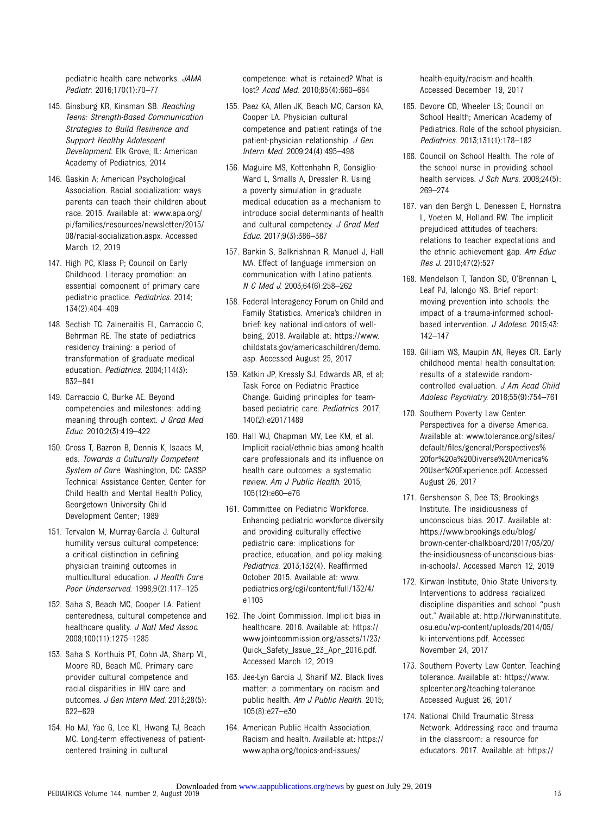<span id="page-12-0"></span>pediatric health care networks. JAMA Pediatr. 2016;170(1):70–77

- 145. Ginsburg KR, Kinsman SB. Reaching Teens: Strength-Based Communication Strategies to Build Resilience and Support Healthy Adolescent Development. Elk Grove, IL: American Academy of Pediatrics; 2014
- 146. Gaskin A; American Psychological Association. Racial socialization: ways parents can teach their children about race. 2015. Available at: www.apa.org/ pi/families/resources/newsletter/2015/ 08/racial-socialization.aspx. Accessed March 12, 2019
- 147. High PC, Klass P; Council on Early Childhood. Literacy promotion: an essential component of primary care pediatric practice. Pediatrics. 2014; 134(2):404–409
- 148. Sectish TC, Zalneraitis EL, Carraccio C, Behrman RE. The state of pediatrics residency training: a period of transformation of graduate medical education. Pediatrics. 2004;114(3): 832–841
- 149. Carraccio C, Burke AE. Beyond competencies and milestones: adding meaning through context. J Grad Med Educ. 2010;2(3):419–422
- 150. Cross T, Bazron B, Dennis K, Isaacs M, eds. Towards a Culturally Competent System of Care. Washington, DC: CASSP Technical Assistance Center, Center for Child Health and Mental Health Policy, Georgetown University Child Development Center; 1989
- 151. Tervalon M, Murray-García J. Cultural humility versus cultural competence: a critical distinction in defining physician training outcomes in multicultural education. J Health Care Poor Underserved. 1998;9(2):117–125
- 152. Saha S, Beach MC, Cooper LA. Patient centeredness, cultural competence and healthcare quality. J Natl Med Assoc. 2008;100(11):1275–1285
- 153. Saha S, Korthuis PT, Cohn JA, Sharp VL, Moore RD, Beach MC. Primary care provider cultural competence and racial disparities in HIV care and outcomes. J Gen Intern Med. 2013;28(5): 622–629
- 154. Ho MJ, Yao G, Lee KL, Hwang TJ, Beach MC. Long-term effectiveness of patientcentered training in cultural

competence: what is retained? What is lost? Acad Med. 2010;85(4):660–664

- 155. Paez KA, Allen JK, Beach MC, Carson KA, Cooper LA. Physician cultural competence and patient ratings of the patient-physician relationship. J Gen Intern Med. 2009;24(4):495–498
- 156. Maguire MS, Kottenhahn R, Consiglio-Ward L, Smalls A, Dressler R. Using a poverty simulation in graduate medical education as a mechanism to introduce social determinants of health and cultural competency. J Grad Med Educ. 2017;9(3):386–387
- 157. Barkin S, Balkrishnan R, Manuel J, Hall MA. Effect of language immersion on communication with Latino patients. N C Med J. 2003;64(6):258–262
- 158. Federal Interagency Forum on Child and Family Statistics. America's children in brief: key national indicators of wellbeing, 2018. Available at: https://www. childstats.gov/americaschildren/demo. asp. Accessed August 25, 2017
- 159. Katkin JP, Kressly SJ, Edwards AR, et al; Task Force on Pediatric Practice Change. Guiding principles for teambased pediatric care. Pediatrics. 2017; 140(2):e20171489
- 160. Hall WJ, Chapman MV, Lee KM, et al. Implicit racial/ethnic bias among health care professionals and its influence on health care outcomes: a systematic review. Am J Public Health. 2015; 105(12):e60–e76
- 161. Committee on Pediatric Workforce. Enhancing pediatric workforce diversity and providing culturally effective pediatric care: implications for practice, education, and policy making. Pediatrics. 2013;132(4). Reaffirmed October 2015. Available at: www. pediatrics.org/cgi/content/full/132/4/ e1105
- 162. The Joint Commission. Implicit bias in healthcare. 2016. Available at: https:// www.jointcommission.org/assets/1/23/ Quick\_Safety\_Issue\_23\_Apr\_2016.pdf. Accessed March 12, 2019
- 163. Jee-Lyn Garcia J, Sharif MZ. Black lives matter: a commentary on racism and public health. Am J Public Health. 2015; 105(8):e27–e30
- 164. American Public Health Association. Racism and health. Available at: https:// www.apha.org/topics-and-issues/

health-equity/racism-and-health. Accessed December 19, 2017

- 165. Devore CD, Wheeler LS; Council on School Health; American Academy of Pediatrics. Role of the school physician. Pediatrics. 2013;131(1):178–182
- 166. Council on School Health. The role of the school nurse in providing school health services. J Sch Nurs. 2008;24(5): 269–274
- 167. van den Bergh L, Denessen E, Hornstra L, Voeten M, Holland RW. The implicit prejudiced attitudes of teachers: relations to teacher expectations and the ethnic achievement gap. Am Educ Res J. 2010;47(2):527
- 168. Mendelson T, Tandon SD, O'Brennan L, Leaf PJ, Ialongo NS. Brief report: moving prevention into schools: the impact of a trauma-informed schoolbased intervention. J Adolesc. 2015;43: 142–147
- 169. Gilliam WS, Maupin AN, Reyes CR. Early childhood mental health consultation: results of a statewide randomcontrolled evaluation. J Am Acad Child Adolesc Psychiatry. 2016;55(9):754–761
- 170. Southern Poverty Law Center. Perspectives for a diverse America. Available at: www.tolerance.org/sites/ default/files/general/Perspectives% 20for%20a%20Diverse%20America% 20User%20Experience.pdf. Accessed August 26, 2017
- 171. Gershenson S, Dee TS; Brookings Institute. The insidiousness of unconscious bias. 2017. Available at: https://www.brookings.edu/blog/ brown-center-chalkboard/2017/03/20/ the-insidiousness-of-unconscious-biasin-schools/. Accessed March 12, 2019
- 172. Kirwan Institute, Ohio State University. Interventions to address racialized discipline disparities and school "push out." Available at: http://kirwaninstitute. osu.edu/wp-content/uploads/2014/05/ ki-interventions.pdf. Accessed November 24, 2017
- 173. Southern Poverty Law Center. Teaching tolerance. Available at: https://www. splcenter.org/teaching-tolerance. Accessed August 26, 2017
- 174. National Child Traumatic Stress Network. Addressing race and trauma in the classroom: a resource for educators. 2017. Available at: https://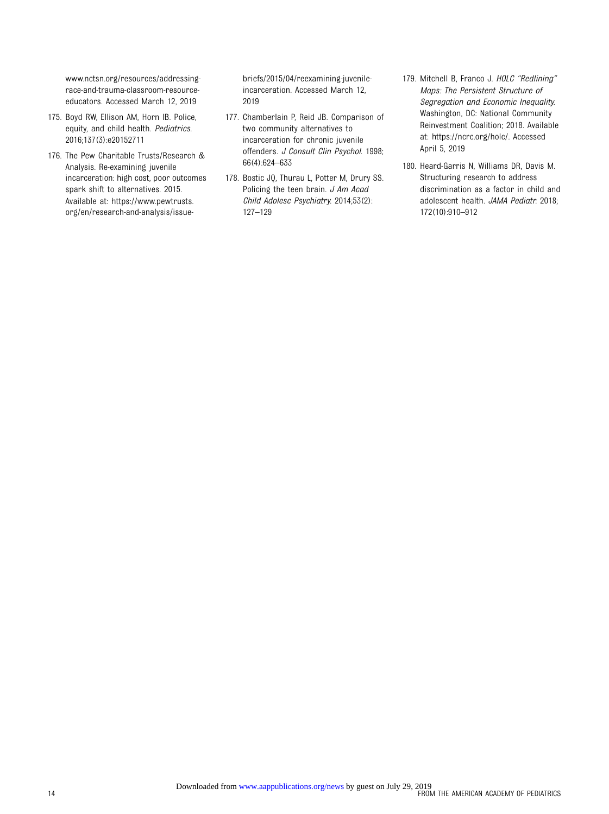<span id="page-13-0"></span>www.nctsn.org/resources/addressingrace-and-trauma-classroom-resourceeducators. Accessed March 12, 2019

- 175. Boyd RW, Ellison AM, Horn IB. Police, equity, and child health. Pediatrics. 2016;137(3):e20152711
- 176. The Pew Charitable Trusts/Research & Analysis. Re-examining juvenile incarceration: high cost, poor outcomes spark shift to alternatives. 2015. Available at: https://www.pewtrusts. org/en/research-and-analysis/issue-

briefs/2015/04/reexamining-juvenileincarceration. Accessed March 12, 2019

- 177. Chamberlain P, Reid JB. Comparison of two community alternatives to incarceration for chronic juvenile offenders. J Consult Clin Psychol. 1998; 66(4):624–633
- 178. Bostic JQ, Thurau L, Potter M, Drury SS. Policing the teen brain. J Am Acad Child Adolesc Psychiatry. 2014;53(2): 127–129
- 179. Mitchell B, Franco J. HOLC "Redlining" Maps: The Persistent Structure of Segregation and Economic Inequality. Washington, DC: National Community Reinvestment Coalition; 2018. Available at: https://ncrc.org/holc/. Accessed April 5, 2019
- 180. Heard-Garris N, Williams DR, Davis M. Structuring research to address discrimination as a factor in child and adolescent health. JAMA Pediatr. 2018; 172(10):910–912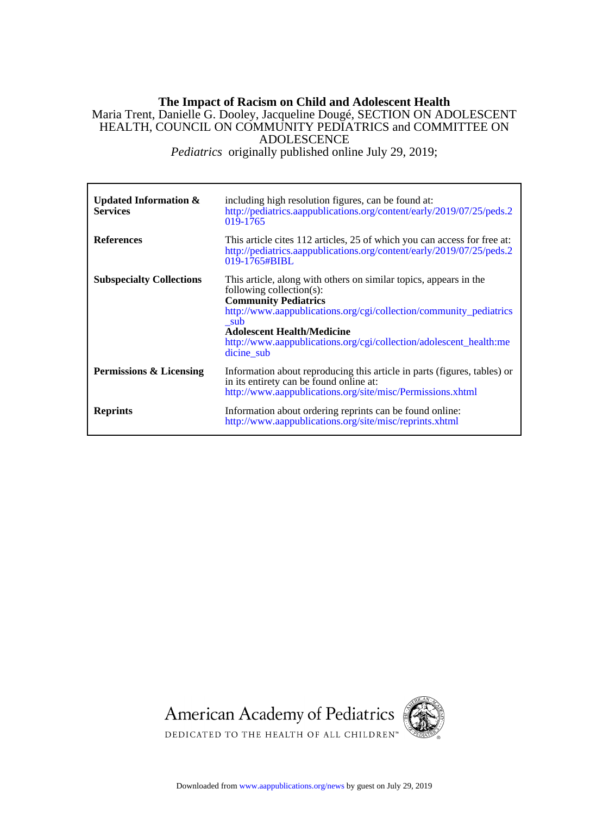### **The Impact of Racism on Child and Adolescent Health**

#### ADOLESCENCE HEALTH, COUNCIL ON COMMUNITY PEDIATRICS and COMMITTEE ON Maria Trent, Danielle G. Dooley, Jacqueline Dougé, SECTION ON ADOLESCENT

*Pediatrics* originally published online July 29, 2019;

Г

| <b>Updated Information &amp;</b><br><b>Services</b> | including high resolution figures, can be found at:<br>http://pediatrics.aappublications.org/content/early/2019/07/25/peds.2<br>019-1765                                                                                                                                                                                           |
|-----------------------------------------------------|------------------------------------------------------------------------------------------------------------------------------------------------------------------------------------------------------------------------------------------------------------------------------------------------------------------------------------|
| <b>References</b>                                   | This article cites 112 articles, 25 of which you can access for free at:<br>http://pediatrics.aappublications.org/content/early/2019/07/25/peds.2<br>019-1765#BIBL                                                                                                                                                                 |
| <b>Subspecialty Collections</b>                     | This article, along with others on similar topics, appears in the<br>following collection(s):<br><b>Community Pediatrics</b><br>http://www.aappublications.org/cgi/collection/community_pediatrics<br>sub<br><b>Adolescent Health/Medicine</b><br>http://www.aappublications.org/cgi/collection/adolescent_health:me<br>dicine sub |
| Permissions & Licensing                             | Information about reproducing this article in parts (figures, tables) or<br>in its entirety can be found online at:<br>http://www.aappublications.org/site/misc/Permissions.xhtml                                                                                                                                                  |
| <b>Reprints</b>                                     | Information about ordering reprints can be found online:<br>http://www.aappublications.org/site/misc/reprints.xhtml                                                                                                                                                                                                                |